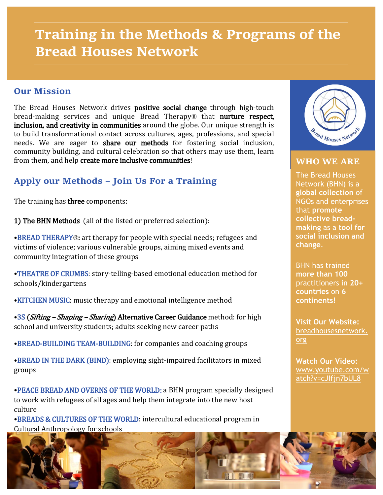# **Training in the Methods & Programs of the Bread Houses Network**

#### **Our Mission**

The Bread Houses Network drives **positive social change** through high-touch bread-making services and unique Bread Therapy*®* that nurture respect, inclusion, and creativity in communities around the globe. Our unique strength is to build transformational contact across cultures, ages, professions, and special needs. We are eager to share our methods for fostering social inclusion, community building, and cultural celebration so that others may use them, learn from them, and help create more inclusive communities!

## **Apply our Methods – Join Us For a Training**

The training has **three** components:

1) The BHN Methods (all of the listed or preferred selection):

•BREAD THERAPY*®*: art therapy for people with special needs; refugees and victims of violence; various vulnerable groups, aiming mixed events and community integration of these groups

•THEATRE OF CRUMBS: story-telling-based emotional education method for schools/kindergartens

•KITCHEN MUSIC: music therapy and emotional intelligence method

•3S (Sifting – Shaping – Sharing) Alternative Career Guidance method: for high school and university students; adults seeking new career paths

•BREAD-BUILDING TEAM-BUILDING: for companies and coaching groups

•BREAD IN THE DARK (BIND): employing sight-impaired facilitators in mixed groups

•PEACE BREAD AND OVERNS OF THE WORLD: a BHN program specially designed to work with refugees of all ages and help them integrate into the new host culture

•BREADS & CULTURES OF THE WORLD: intercultural educational program in Cultural Anthropology for schools



#### **WHO WE ARE**

The Bread Houses Network (BHN) is a **global collection** of NGOs and enterprises that **promote collective breadmaking** as a **tool for social inclusion and change**.

BHN has trained **more than 100** practitioners in **20+ countries** on **6 continents!**

**Visit Our Website:** [breadhousesnetwork.](http://breadhousesnetwork.org/) [org](http://breadhousesnetwork.org/)

**Watch Our Video:** [www.youtube.com/w](http://www.youtube.com/watch?v=cJIfjn7bUL8) [atch?v=cJIfjn7bUL8](http://www.youtube.com/watch?v=cJIfjn7bUL8)